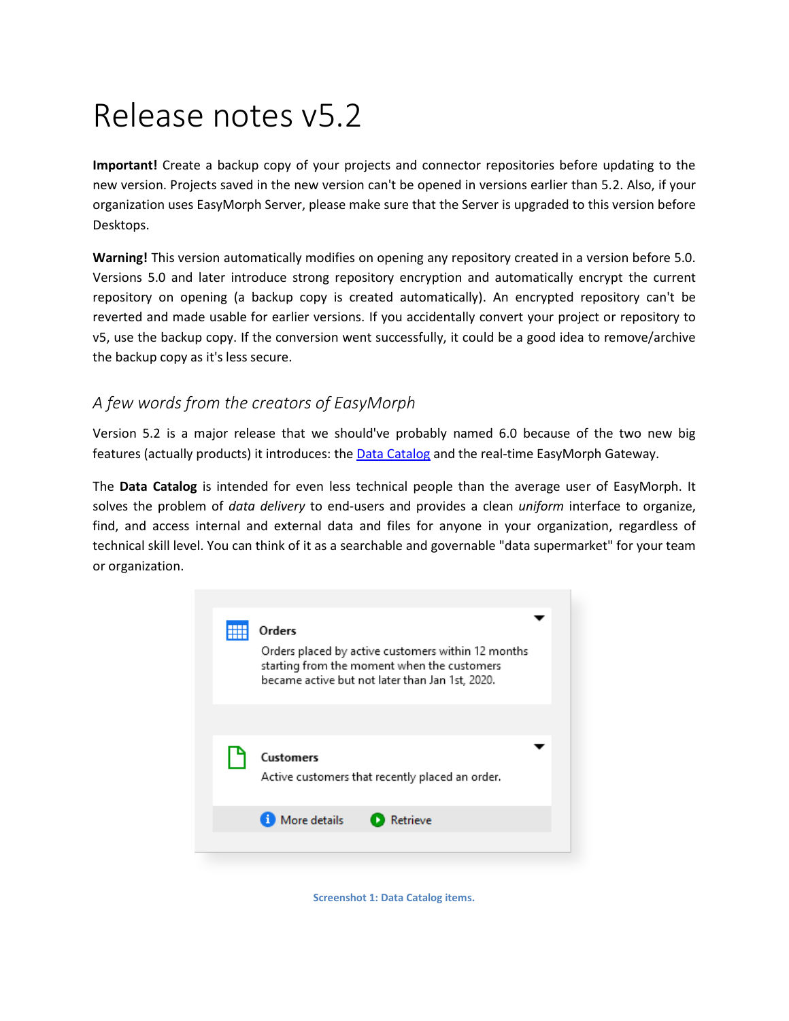# Release notes v5.2

**Important!** Create a backup copy of your projects and connector repositories before updating to the new version. Projects saved in the new version can't be opened in versions earlier than 5.2. Also, if your organization uses EasyMorph Server, please make sure that the Server is upgraded to this version before Desktops.

**Warning!** This version automatically modifies on opening any repository created in a version before 5.0. Versions 5.0 and later introduce strong repository encryption and automatically encrypt the current repository on opening (a backup copy is created automatically). An encrypted repository can't be reverted and made usable for earlier versions. If you accidentally convert your project or repository to v5, use the backup copy. If the conversion went successfully, it could be a good idea to remove/archive the backup copy as it's less secure.

## *A few words from the creators of EasyMorph*

Version 5.2 is a major release that we should've probably named 6.0 because of the two new big features (actually products) it introduces: the [Data Catalog](https://datacatalog.com/) and the real-time EasyMorph Gateway.

The **Data Catalog** is intended for even less technical people than the average user of EasyMorph. It solves the problem of *data delivery* to end-users and provides a clean *uniform* interface to organize, find, and access internal and external data and files for anyone in your organization, regardless of technical skill level. You can think of it as a searchable and governable "data supermarket" for your team or organization.



**Screenshot 1: Data Catalog items.**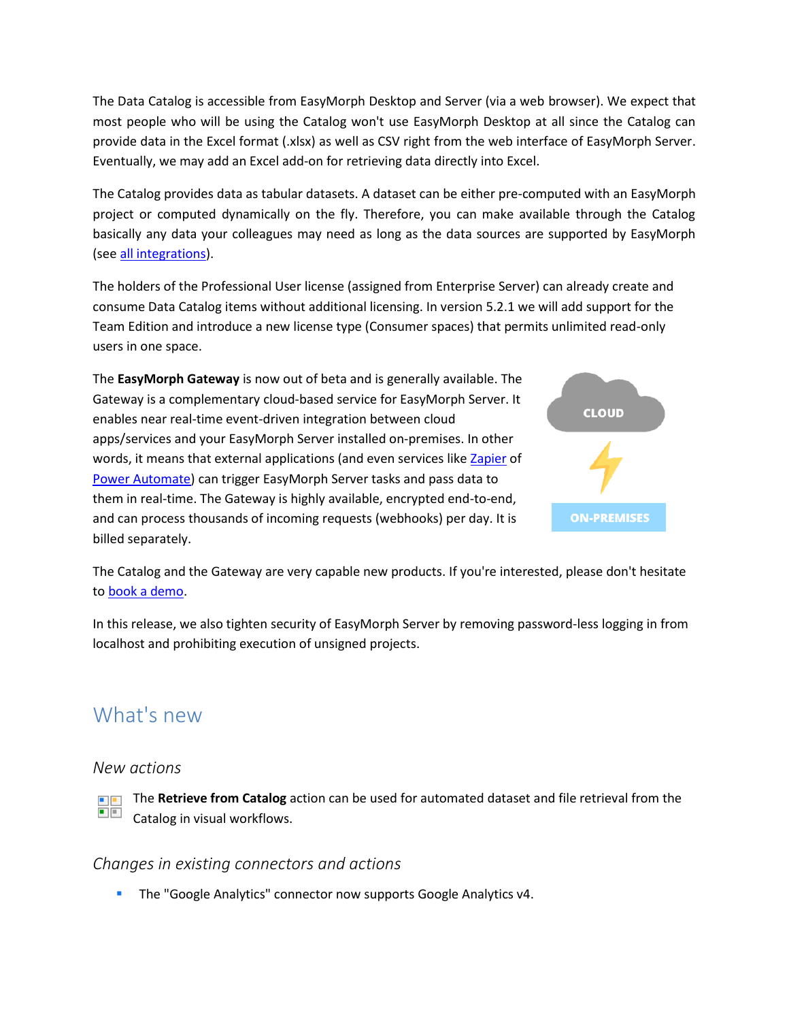The Data Catalog is accessible from EasyMorph Desktop and Server (via a web browser). We expect that most people who will be using the Catalog won't use EasyMorph Desktop at all since the Catalog can provide data in the Excel format (.xlsx) as well as CSV right from the web interface of EasyMorph Server. Eventually, we may add an Excel add-on for retrieving data directly into Excel.

The Catalog provides data as tabular datasets. A dataset can be either pre-computed with an EasyMorph project or computed dynamically on the fly. Therefore, you can make available through the Catalog basically any data your colleagues may need as long as the data sources are supported by EasyMorph (see [all integrations\)](https://easymorph.com/all-integrations.html).

The holders of the Professional User license (assigned from Enterprise Server) can already create and consume Data Catalog items without additional licensing. In version 5.2.1 we will add support for the Team Edition and introduce a new license type (Consumer spaces) that permits unlimited read-only users in one space.

The **EasyMorph Gateway** is now out of beta and is generally available. The Gateway is a complementary cloud-based service for EasyMorph Server. It enables near real-time event-driven integration between cloud apps/services and your EasyMorph Server installed on-premises. In other words, it means that external applications (and even services like [Zapier](https://community.easymorph.com/t/how-to-use-zapier-with-easymorph-gateway/2962) of [Power Automate\)](https://community.easymorph.com/t/how-to-use-microsoft-power-automate-with-easymorph-gateway/3035) can trigger EasyMorph Server tasks and pass data to them in real-time. The Gateway is highly available, encrypted end-to-end, and can process thousands of incoming requests (webhooks) per day. It is billed separately.



The Catalog and the Gateway are very capable new products. If you're interested, please don't hesitate to [book a demo.](https://easymorph.com/book-demo.html)

In this release, we also tighten security of EasyMorph Server by removing password-less logging in from localhost and prohibiting execution of unsigned projects.

# What's new

#### *New actions*

The **Retrieve from Catalog** action can be used for automated dataset and file retrieval from the  $\blacksquare$  :  $\Box$   $\Box$ Catalog in visual workflows.

#### *Changes in existing connectors and actions*

The "Google Analytics" connector now supports Google Analytics v4.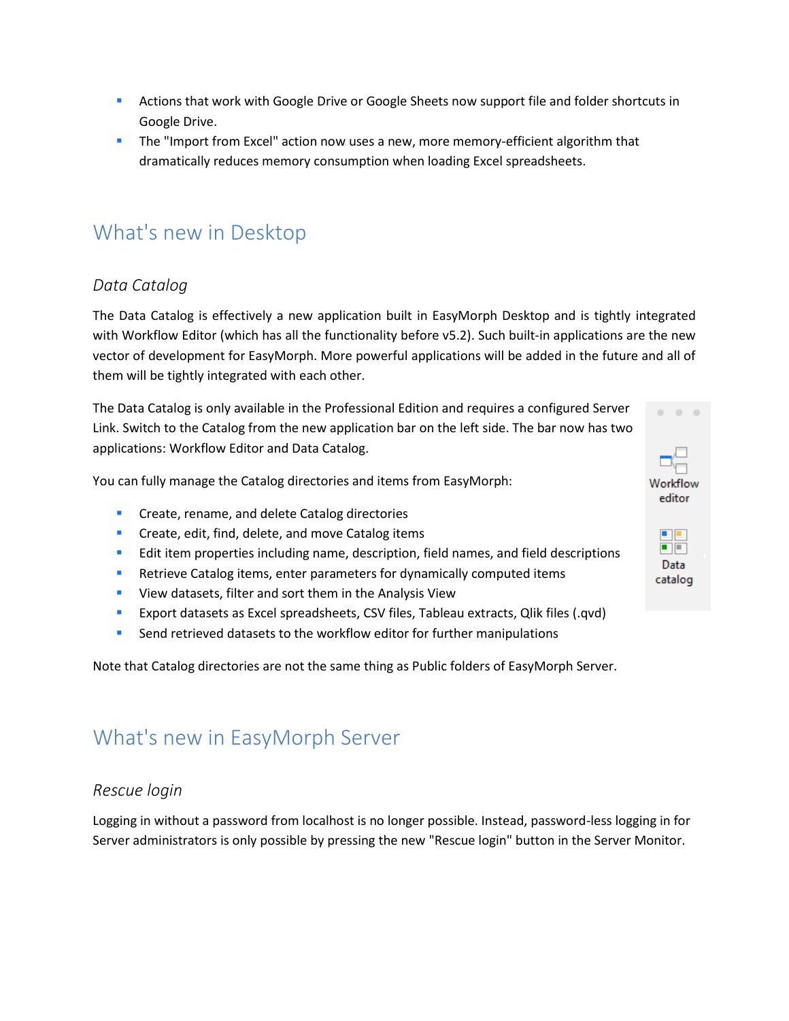- **Actions that work with Google Drive or Google Sheets now support file and folder shortcuts in** Google Drive.
- **The "Import from Excel" action now uses a new, more memory-efficient algorithm that** dramatically reduces memory consumption when loading Excel spreadsheets.

# What's new in Desktop

## *Data Catalog*

The Data Catalog is effectively a new application built in EasyMorph Desktop and is tightly integrated with Workflow Editor (which has all the functionality before v5.2). Such built-in applications are the new vector of development for EasyMorph. More powerful applications will be added in the future and all of them will be tightly integrated with each other.

The Data Catalog is only available in the Professional Edition and requires a configured Server Link. Switch to the Catalog from the new application bar on the left side. The bar now has two applications: Workflow Editor and Data Catalog.

You can fully manage the Catalog directories and items from EasyMorph:

- **Create, rename, and delete Catalog directories**
- **Create, edit, find, delete, and move Catalog items**
- **EDIT 10** Edit item properties including name, description, field names, and field descriptions
- **Retrieve Catalog items, enter parameters for dynamically computed items**
- **UPICA** View datasets, filter and sort them in the Analysis View
- Export datasets as Excel spreadsheets, CSV files, Tableau extracts, Qlik files (.qvd)
- Send retrieved datasets to the workflow editor for further manipulations

Note that Catalog directories are not the same thing as Public folders of EasyMorph Server.

# What's new in EasyMorph Server

#### *Rescue login*

Logging in without a password from localhost is no longer possible. Instead, password-less logging in for Server administrators is only possible by pressing the new "Rescue login" button in the Server Monitor.

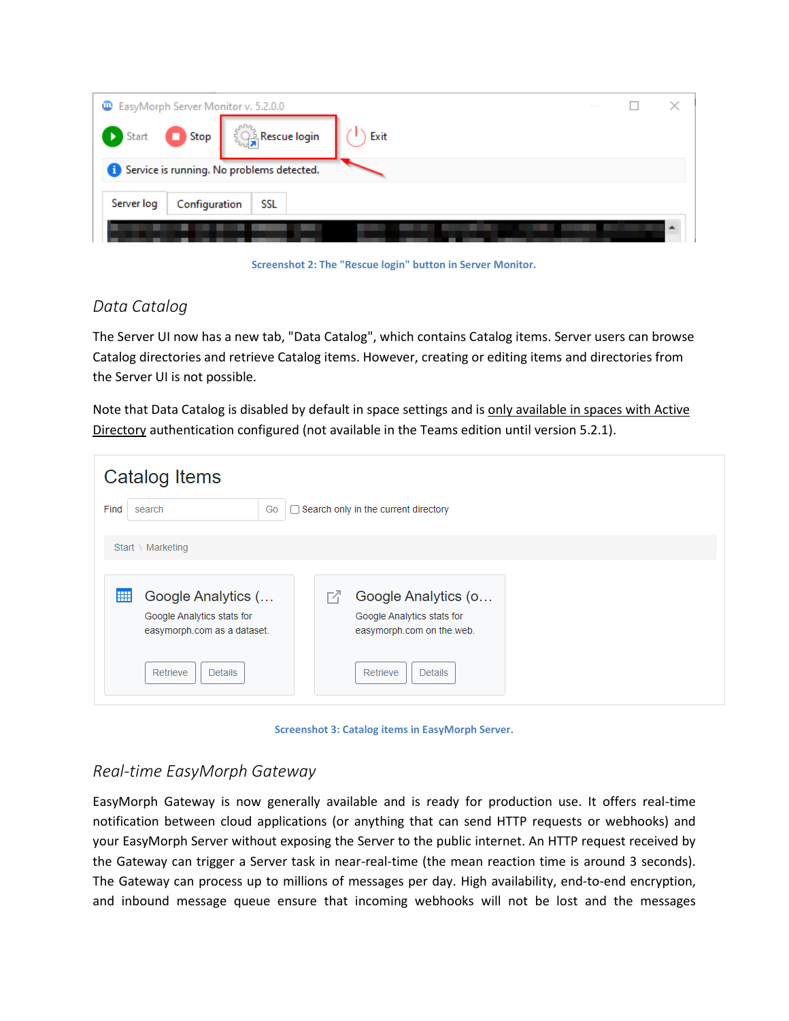

**Screenshot 2: The "Rescue login" button in Server Monitor.**

## *Data Catalog*

The Server UI now has a new tab, "Data Catalog", which contains Catalog items. Server users can browse Catalog directories and retrieve Catalog items. However, creating or editing items and directories from the Server UI is not possible.

Note that Data Catalog is disabled by default in space settings and is only available in spaces with Active Directory authentication configured (not available in the Teams edition until version 5.2.1).

| Catalog Items                                                                        |                                                                                     |  |  |  |
|--------------------------------------------------------------------------------------|-------------------------------------------------------------------------------------|--|--|--|
| Find<br>Search only in the current directory<br>Go<br>search                         |                                                                                     |  |  |  |
| Start \ Marketing                                                                    |                                                                                     |  |  |  |
| m<br>Google Analytics (<br>Google Analytics stats for<br>easymorph.com as a dataset. | Google Analytics (o<br>M<br>Google Analytics stats for<br>easymorph.com on the web. |  |  |  |
| Retrieve<br><b>Details</b>                                                           | Retrieve<br><b>Details</b>                                                          |  |  |  |

**Screenshot 3: Catalog items in EasyMorph Server.**

## *Real-time EasyMorph Gateway*

EasyMorph Gateway is now generally available and is ready for production use. It offers real-time notification between cloud applications (or anything that can send HTTP requests or webhooks) and your EasyMorph Server without exposing the Server to the public internet. An HTTP request received by the Gateway can trigger a Server task in near-real-time (the mean reaction time is around 3 seconds). The Gateway can process up to millions of messages per day. High availability, end-to-end encryption, and inbound message queue ensure that incoming webhooks will not be lost and the messages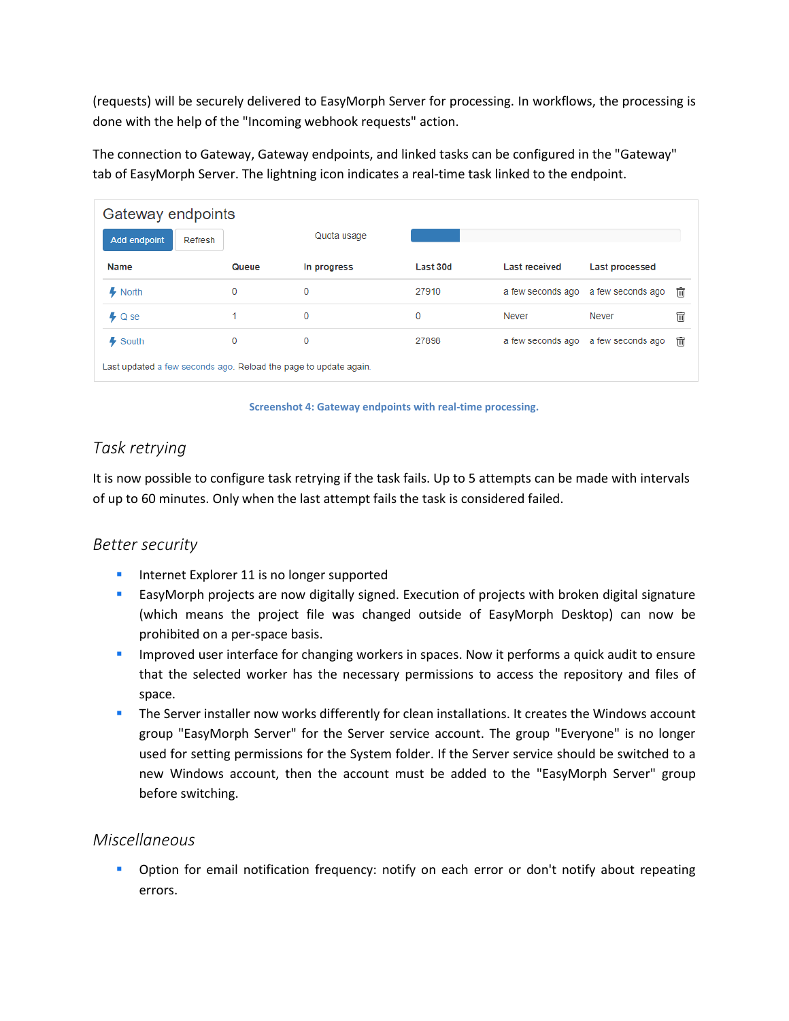(requests) will be securely delivered to EasyMorph Server for processing. In workflows, the processing is done with the help of the "Incoming webhook requests" action.

The connection to Gateway, Gateway endpoints, and linked tasks can be configured in the "Gateway" tab of EasyMorph Server. The lightning icon indicates a real-time task linked to the endpoint.

| Gateway endpoints                                                |       |             |          |                   |                                     |   |  |
|------------------------------------------------------------------|-------|-------------|----------|-------------------|-------------------------------------|---|--|
| Add endpoint<br>Refresh                                          |       | Quota usage |          |                   |                                     |   |  |
| <b>Name</b>                                                      | Queue | In progress | Last 30d | Last received     | Last processed                      |   |  |
| $\clubsuit$ North                                                | 0     | 0           | 27910    | a few seconds ago | a few seconds ago                   | 丽 |  |
| $\clubsuit$ Q se                                                 |       | 0           | 0        | Never             | Never                               | t |  |
| Ļ<br>South                                                       | 0     | 0           | 27898    |                   | a few seconds ago a few seconds ago | 丽 |  |
| Last updated a few seconds ago. Reload the page to update again. |       |             |          |                   |                                     |   |  |

**Screenshot 4: Gateway endpoints with real-time processing.**

## *Task retrying*

It is now possible to configure task retrying if the task fails. Up to 5 attempts can be made with intervals of up to 60 minutes. Only when the last attempt fails the task is considered failed.

#### *Better security*

- **Internet Explorer 11 is no longer supported**
- **EasyMorph projects are now digitally signed. Execution of projects with broken digital signature** (which means the project file was changed outside of EasyMorph Desktop) can now be prohibited on a per-space basis.
- **IMP** Improved user interface for changing workers in spaces. Now it performs a quick audit to ensure that the selected worker has the necessary permissions to access the repository and files of space.
- **The Server installer now works differently for clean installations. It creates the Windows account** group "EasyMorph Server" for the Server service account. The group "Everyone" is no longer used for setting permissions for the System folder. If the Server service should be switched to a new Windows account, then the account must be added to the "EasyMorph Server" group before switching.

#### *Miscellaneous*

**•** Option for email notification frequency: notify on each error or don't notify about repeating errors.